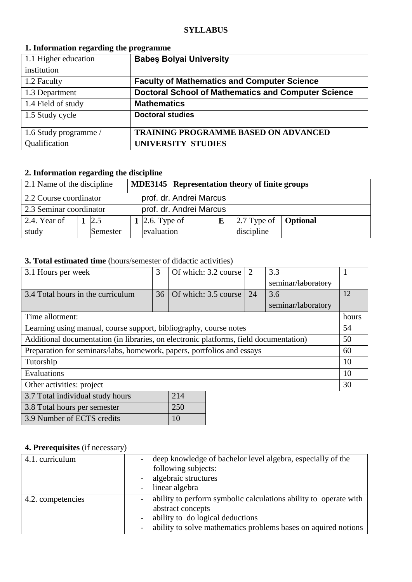| $\overline{\phantom{a}}$<br>- |                                                            |
|-------------------------------|------------------------------------------------------------|
| 1.1 Higher education          | <b>Babes Bolyai University</b>                             |
| institution                   |                                                            |
| 1.2 Faculty                   | <b>Faculty of Mathematics and Computer Science</b>         |
| 1.3 Department                | <b>Doctoral School of Mathematics and Computer Science</b> |
| 1.4 Field of study            | <b>Mathematics</b>                                         |
| 1.5 Study cycle               | <b>Doctoral studies</b>                                    |
|                               |                                                            |
| 1.6 Study programme /         | <b>TRAINING PROGRAMME BASED ON ADVANCED</b>                |
| Qualification                 | UNIVERSITY STUDIES                                         |

### **1. Information regarding the programme**

## **2. Information regarding the discipline**

| 2.1 Name of the discipline<br><b>MDE3145</b> Representation theory of finite groups |  |          |  |                         |   |                                                    |  |
|-------------------------------------------------------------------------------------|--|----------|--|-------------------------|---|----------------------------------------------------|--|
| prof. dr. Andrei Marcus<br>2.2 Course coordinator                                   |  |          |  |                         |   |                                                    |  |
| 2.3 Seminar coordinator                                                             |  |          |  | prof. dr. Andrei Marcus |   |                                                    |  |
| 2.4. Year of                                                                        |  | 2.5      |  | 1 2.6. Type of          | E | $\sqrt{2.7}$ Type of $\sqrt{\phantom{a}}$ Optional |  |
| study                                                                               |  | Semester |  | evaluation              |   | discipline                                         |  |

### **3. Total estimated time** (hours/semester of didactic activities)

| 3.1 Hours per week                                                                    | 3  | Of which: 3.2 course | 2  | 3.3                |       |
|---------------------------------------------------------------------------------------|----|----------------------|----|--------------------|-------|
|                                                                                       |    |                      |    | seminar/laboratory |       |
|                                                                                       |    |                      |    |                    |       |
| 3.4 Total hours in the curriculum                                                     | 36 | Of which: 3.5 course | 24 | 3.6                | 12    |
|                                                                                       |    |                      |    | seminar/laboratory |       |
| Time allotment:                                                                       |    |                      |    |                    | hours |
| Learning using manual, course support, bibliography, course notes                     |    |                      |    |                    | 54    |
| Additional documentation (in libraries, on electronic platforms, field documentation) |    |                      |    |                    | 50    |
| Preparation for seminars/labs, homework, papers, portfolios and essays                |    |                      |    | 60                 |       |
| Tutorship                                                                             |    |                      |    |                    | 10    |
| Evaluations                                                                           |    |                      |    | 10                 |       |
| Other activities: project                                                             |    |                      |    | 30                 |       |
| 3.7 Total individual study hours                                                      |    | 214                  |    |                    |       |
| 3.8 Total hours per semester                                                          |    | 250                  |    |                    |       |

## **4. Prerequisites** (if necessary)

3.9 Number of ECTS credits 10

| 4.1. curriculum   | deep knowledge of bachelor level algebra, especially of the<br>following subjects:<br>algebraic structures                                                                                  |
|-------------------|---------------------------------------------------------------------------------------------------------------------------------------------------------------------------------------------|
|                   | linear algebra                                                                                                                                                                              |
| 4.2. competencies | ability to perform symbolic calculations ability to operate with<br>abstract concepts<br>ability to do logical deductions<br>ability to solve mathematics problems bases on aquired notions |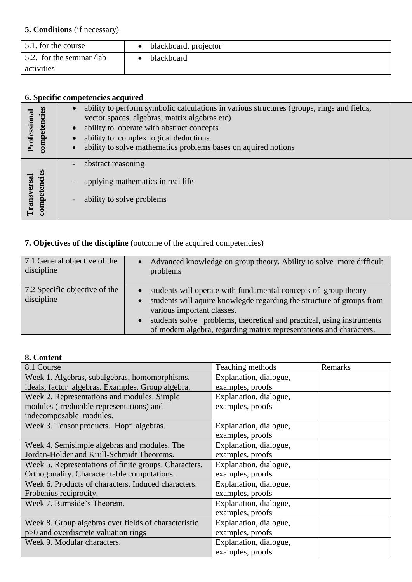## **5. Conditions** (if necessary)

| 5.1. for the course       | • blackboard, projector |
|---------------------------|-------------------------|
| 5.2. for the seminar /lab | blackboard              |
| activities                |                         |

# **6. Specific competencies acquired**

| competencies<br>Professional | ability to perform symbolic calculations in various structures (groups, rings and fields,<br>vector spaces, algebras, matrix algebras etc)<br>ability to operate with abstract concepts<br>ability to complex logical deductions<br>ability to solve mathematics problems bases on aquired notions |  |
|------------------------------|----------------------------------------------------------------------------------------------------------------------------------------------------------------------------------------------------------------------------------------------------------------------------------------------------|--|
| competencies<br>Transversal  | abstract reasoning<br>applying mathematics in real life<br>ability to solve problems                                                                                                                                                                                                               |  |

# **7. Objectives of the discipline** (outcome of the acquired competencies)

| 7.1 General objective of the<br>discipline  | Advanced knowledge on group theory. Ability to solve more difficult<br>problems                                                                                                                                                                                                                                        |
|---------------------------------------------|------------------------------------------------------------------------------------------------------------------------------------------------------------------------------------------------------------------------------------------------------------------------------------------------------------------------|
| 7.2 Specific objective of the<br>discipline | students will operate with fundamental concepts of group theory<br>students will aquire knowlegde regarding the structure of groups from<br>various important classes.<br>students solve problems, theoretical and practical, using instruments<br>of modern algebra, regarding matrix representations and characters. |

## **8. Content**

| 8.1 Course                                            | Teaching methods       | Remarks |
|-------------------------------------------------------|------------------------|---------|
| Week 1. Algebras, subalgebras, homomorphisms,         | Explanation, dialogue, |         |
| ideals, factor algebras. Examples. Group algebra.     | examples, proofs       |         |
| Week 2. Representations and modules. Simple           | Explanation, dialogue, |         |
| modules (irreducible representations) and             | examples, proofs       |         |
| indecomposable modules.                               |                        |         |
| Week 3. Tensor products. Hopf algebras.               | Explanation, dialogue, |         |
|                                                       | examples, proofs       |         |
| Week 4. Semisimple algebras and modules. The          | Explanation, dialogue, |         |
| Jordan-Holder and Krull-Schmidt Theorems.             | examples, proofs       |         |
| Week 5. Representations of finite groups. Characters. | Explanation, dialogue, |         |
| Orthogonality. Character table computations.          | examples, proofs       |         |
| Week 6. Products of characters. Induced characters.   | Explanation, dialogue, |         |
| Frobenius reciprocity.                                | examples, proofs       |         |
| Week 7. Burnside's Theorem.                           | Explanation, dialogue, |         |
|                                                       | examples, proofs       |         |
| Week 8. Group algebras over fields of characteristic  | Explanation, dialogue, |         |
| p>0 and overdiscrete valuation rings                  | examples, proofs       |         |
| Week 9. Modular characters.                           | Explanation, dialogue, |         |
|                                                       | examples, proofs       |         |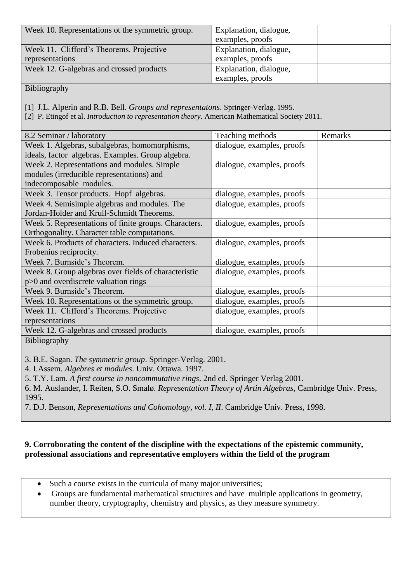| Week 10. Representations ot the symmetric group. | Explanation, dialogue, |  |
|--------------------------------------------------|------------------------|--|
|                                                  | examples, proofs       |  |
| Week 11. Clifford's Theorems. Projective         | Explanation, dialogue, |  |
| representations                                  | examples, proofs       |  |
| Week 12. G-algebras and crossed products         | Explanation, dialogue, |  |
|                                                  | examples, proofs       |  |

Bibliography

[1] J.L. Alperin and R.B. Bell. *Groups and representatons*. Springer-Verlag. 1995.

[2] P. Etingof et al. *Introduction to representation theory*. American Mathematical Society 2011.

| 8.2 Seminar / laboratory                              | Teaching methods           | Remarks |
|-------------------------------------------------------|----------------------------|---------|
| Week 1. Algebras, subalgebras, homomorphisms,         | dialogue, examples, proofs |         |
| ideals, factor algebras. Examples. Group algebra.     |                            |         |
| Week 2. Representations and modules. Simple           | dialogue, examples, proofs |         |
| modules (irreducible representations) and             |                            |         |
| indecomposable modules.                               |                            |         |
| Week 3. Tensor products. Hopf algebras.               | dialogue, examples, proofs |         |
| Week 4. Semisimple algebras and modules. The          | dialogue, examples, proofs |         |
| Jordan-Holder and Krull-Schmidt Theorems.             |                            |         |
| Week 5. Representations of finite groups. Characters. | dialogue, examples, proofs |         |
| Orthogonality. Character table computations.          |                            |         |
| Week 6. Products of characters. Induced characters.   | dialogue, examples, proofs |         |
| Frobenius reciprocity.                                |                            |         |
| Week 7. Burnside's Theorem.                           | dialogue, examples, proofs |         |
| Week 8. Group algebras over fields of characteristic  | dialogue, examples, proofs |         |
| p>0 and overdiscrete valuation rings                  |                            |         |
| Week 9. Burnside's Theorem.                           | dialogue, examples, proofs |         |
| Week 10. Representations ot the symmetric group.      | dialogue, examples, proofs |         |
| Week 11. Clifford's Theorems. Projective              | dialogue, examples, proofs |         |
| representations                                       |                            |         |
| Week 12. G-algebras and crossed products              | dialogue, examples, proofs |         |
| Bibliography                                          |                            |         |

3. B.E. Sagan. *The symmetric group*. Springer-Verlag. 2001.

4. I.Assem. *Algebres et modules*. Univ. Ottawa. 1997.

5. T.Y. Lam. *A first course in noncommutative rings*. 2nd ed. Springer Verlag 2001.

6. M. Auslander, I. Reiten, S.O. Smalø. *Representation Theory of Artin Algebras*, Cambridge Univ. Press, 1995.

7. D.J. Benson, *Representations and Cohomology, vol. I, II*. Cambridge Univ. Press, 1998.

### **9. Corroborating the content of the discipline with the expectations of the epistemic community, professional associations and representative employers within the field of the program**

- Such a course exists in the curricula of many major universities;
- Groups are fundamental mathematical structures and have multiple applications in geometry, number theory, cryptography, chemistry and physics, as they measure symmetry.